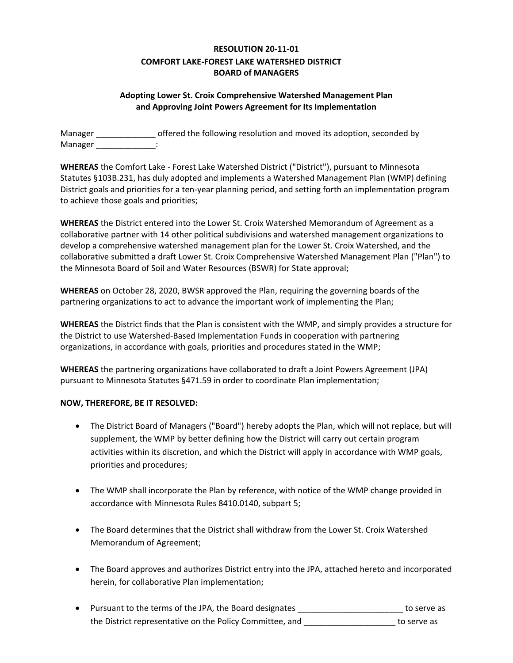## **RESOLUTION 20-11-01 COMFORT LAKE-FOREST LAKE WATERSHED DISTRICT BOARD of MANAGERS**

## **Adopting Lower St. Croix Comprehensive Watershed Management Plan and Approving Joint Powers Agreement for Its Implementation**

Manager \_\_\_\_\_\_\_\_\_\_\_\_\_ offered the following resolution and moved its adoption, seconded by Manager in the set of the set of the set of the set of the set of the set of the set of the set of the set of the set of the set of the set of the set of the set of the set of the set of the set of the set of the set of th

**WHEREAS** the Comfort Lake - Forest Lake Watershed District ("District"), pursuant to Minnesota Statutes §103B.231, has duly adopted and implements a Watershed Management Plan (WMP) defining District goals and priorities for a ten-year planning period, and setting forth an implementation program to achieve those goals and priorities;

**WHEREAS** the District entered into the Lower St. Croix Watershed Memorandum of Agreement as a collaborative partner with 14 other political subdivisions and watershed management organizations to develop a comprehensive watershed management plan for the Lower St. Croix Watershed, and the collaborative submitted a draft Lower St. Croix Comprehensive Watershed Management Plan ("Plan") to the Minnesota Board of Soil and Water Resources (BSWR) for State approval;

**WHEREAS** on October 28, 2020, BWSR approved the Plan, requiring the governing boards of the partnering organizations to act to advance the important work of implementing the Plan;

**WHEREAS** the District finds that the Plan is consistent with the WMP, and simply provides a structure for the District to use Watershed-Based Implementation Funds in cooperation with partnering organizations, in accordance with goals, priorities and procedures stated in the WMP;

**WHEREAS** the partnering organizations have collaborated to draft a Joint Powers Agreement (JPA) pursuant to Minnesota Statutes §471.59 in order to coordinate Plan implementation;

## **NOW, THEREFORE, BE IT RESOLVED:**

- The District Board of Managers ("Board") hereby adopts the Plan, which will not replace, but will supplement, the WMP by better defining how the District will carry out certain program activities within its discretion, and which the District will apply in accordance with WMP goals, priorities and procedures;
- The WMP shall incorporate the Plan by reference, with notice of the WMP change provided in accordance with Minnesota Rules 8410.0140, subpart 5;
- The Board determines that the District shall withdraw from the Lower St. Croix Watershed Memorandum of Agreement;
- The Board approves and authorizes District entry into the JPA, attached hereto and incorporated herein, for collaborative Plan implementation;
- Pursuant to the terms of the JPA, the Board designates \_\_\_\_\_\_\_\_\_\_\_\_\_\_\_\_\_\_\_\_\_\_\_ to serve as the District representative on the Policy Committee, and \_\_\_\_\_\_\_\_\_\_\_\_\_\_\_\_\_\_\_\_ to serve as